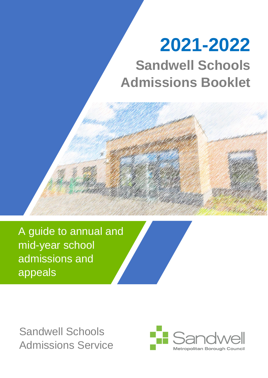# **2021-2022**

**Sandwell Schools Admissions Booklet**

A guide to annual and mid-year school admissions and appeals

Sandwell Schools Admissions Service

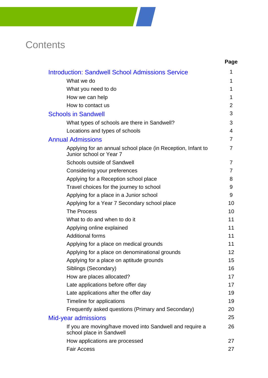## **Contents**

|                                                                                         | Page           |
|-----------------------------------------------------------------------------------------|----------------|
| <b>Introduction: Sandwell School Admissions Service</b>                                 | 1              |
| What we do                                                                              | 1              |
| What you need to do                                                                     | 1              |
| How we can help                                                                         | 1              |
| How to contact us                                                                       | $\overline{2}$ |
| <b>Schools in Sandwell</b>                                                              | 3              |
| What types of schools are there in Sandwell?                                            | 3              |
| Locations and types of schools                                                          | $\overline{4}$ |
| <b>Annual Admissions</b>                                                                | 7              |
| Applying for an annual school place (in Reception, Infant to<br>Junior school or Year 7 | 7              |
| <b>Schools outside of Sandwell</b>                                                      | 7              |
| Considering your preferences                                                            | 7              |
| Applying for a Reception school place                                                   | 8              |
| Travel choices for the journey to school                                                | 9              |
| Applying for a place in a Junior school                                                 | 9              |
| Applying for a Year 7 Secondary school place                                            | 10             |
| <b>The Process</b>                                                                      | 10             |
| What to do and when to do it                                                            | 11             |
| Applying online explained                                                               | 11             |
| <b>Additional forms</b>                                                                 | 11             |
| Applying for a place on medical grounds                                                 | 11             |
| Applying for a place on denominational grounds                                          | 12             |
| Applying for a place on aptitude grounds                                                | 15             |
| Siblings (Secondary)                                                                    | 16             |
| How are places allocated?                                                               | 17             |
| Late applications before offer day                                                      | 17             |
| Late applications after the offer day                                                   | 19             |
| Timeline for applications                                                               | 19             |
| Frequently asked questions (Primary and Secondary)                                      | 20             |
| Mid-year admissions                                                                     | 25             |
| If you are moving/have moved into Sandwell and require a<br>school place in Sandwell    | 26             |
| How applications are processed                                                          | 27             |
| <b>Fair Access</b>                                                                      | 27             |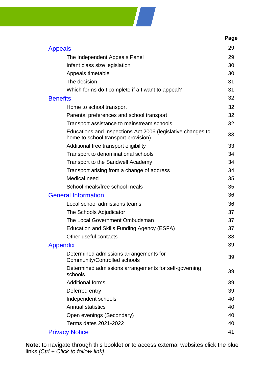

|                                                                                                    | Page |
|----------------------------------------------------------------------------------------------------|------|
| <b>Appeals</b>                                                                                     | 29   |
| The Independent Appeals Panel                                                                      | 29   |
| Infant class size legislation                                                                      | 30   |
| Appeals timetable                                                                                  | 30   |
| The decision                                                                                       | 31   |
| Which forms do I complete if a I want to appeal?                                                   | 31   |
| <b>Benefits</b>                                                                                    | 32   |
| Home to school transport                                                                           | 32   |
| Parental preferences and school transport                                                          | 32   |
| Transport assistance to mainstream schools                                                         | 32   |
| Educations and Inspections Act 2006 (legislative changes to<br>home to school transport provision) | 33   |
| Additional free transport eligibility                                                              | 33   |
| Transport to denominational schools                                                                | 34   |
| Transport to the Sandwell Academy                                                                  | 34   |
| Transport arising from a change of address                                                         | 34   |
| Medical need                                                                                       | 35   |
| School meals/free school meals                                                                     | 35   |
| <b>General Information</b>                                                                         | 36   |
| Local school admissions teams                                                                      | 36   |
| The Schools Adjudicator                                                                            | 37   |
| The Local Government Ombudsman                                                                     | 37   |
| Education and Skills Funding Agency (ESFA)                                                         | 37   |
| Other useful contacts                                                                              | 38   |
| <b>Appendix</b>                                                                                    | 39   |
| Determined admissions arrangements for<br>Community/Controlled schools                             | 39   |
| Determined admissions arrangements for self-governing<br>schools                                   | 39   |
| <b>Additional forms</b>                                                                            | 39   |
| Deferred entry                                                                                     | 39   |
| Independent schools                                                                                | 40   |
| <b>Annual statistics</b>                                                                           | 40   |
| Open evenings (Secondary)                                                                          | 40   |
| Terms dates 2021-2022                                                                              | 40   |
| <b>Privacy Notice</b>                                                                              | 41   |

**Note**: to navigate through this booklet or to access external websites click the blue links *[Ctrl + Click to follow link]*.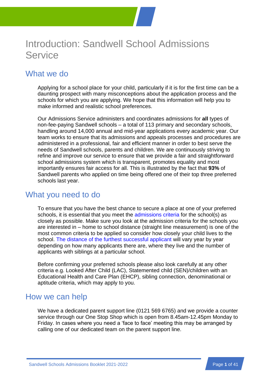

## <span id="page-3-0"></span>Introduction: Sandwell School Admissions **Service**

## What we do

Applying for a school place for your child, particularly if it is for the first time can be a daunting prospect with many misconceptions about the application process and the schools for which you are applying. We hope that this information will help you to make informed and realistic school preferences.

Our Admissions Service administers and coordinates admissions for **all** types of non-fee-paying Sandwell schools – a total of 113 primary and secondary schools, handling around 14,000 annual and mid-year applications every academic year. Our team works to ensure that its admissions and appeals processes and procedures are administered in a professional, fair and efficient manner in order to best serve the needs of Sandwell schools, parents and children. We are continuously striving to refine and improve our service to ensure that we provide a fair and straightforward school admissions system which is transparent, promotes equality and most importantly ensures fair access for all. This is illustrated by the fact that **93%** of Sandwell parents who applied on time being offered one of their top three preferred schools last year.

## What you need to do

To ensure that you have the best chance to secure a place at one of your preferred schools, it is essential that you meet the [admissions criteria](#page-41-1) for the school(s) as closely as possible. Make sure you look at the admission criteria for the schools you are interested in – home to school distance (straight line measurement) is one of the most common criteria to be applied so consider how closely your child lives to the school. [The distance of the furthest successful applicant](#page-42-0) will vary year by year depending on how many applicants there are, where they live and the number of applicants with siblings at a particular school.

Before confirming your preferred schools please also look carefully at any other criteria e.g. Looked After Child (LAC), Statemented child (SEN)/children with an Educational Health and Care Plan (EHCP), sibling connection, denominational or aptitude criteria, which may apply to you.

## How we can help

We have a dedicated parent support line (0121 569 6765) and we provide a counter service through our One Stop Shop which is open from 8.45am-12.45pm Monday to Friday. In cases where you need a 'face to face' meeting this may be arranged by calling one of our dedicated team on the parent support line.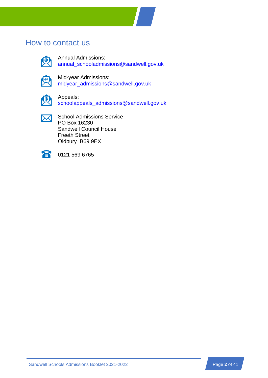### How to contact us



Annual Admissions: [annual\\_schooladmissions@sandwell.gov.uk](mailto:annual_schooladmissions@sandwell.gov.uk)



Mid-year Admissions: [midyear\\_admissions@sandwell.gov.uk](mailto:midyear_admissions@sandwell.gov.uk)



Appeals: [schoolappeals\\_admissions@sandwell.gov.uk](mailto:schoolappeals_admissions@sandwell.gov.uk)

 $\boxtimes$ 

School Admissions Service PO Box 16230 Sandwell Council House Freeth Street Oldbury B69 9EX



0121 569 6765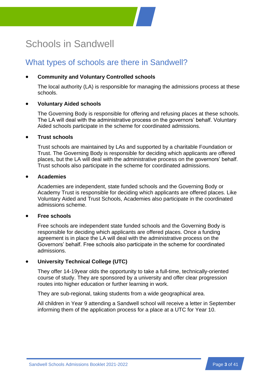## <span id="page-5-0"></span>Schools in Sandwell

## What types of schools are there in Sandwell?

### • **Community and Voluntary Controlled schools**

The local authority (LA) is responsible for managing the admissions process at these schools.

### • **Voluntary Aided schools**

The Governing Body is responsible for offering and refusing places at these schools. The LA will deal with the administrative process on the governors' behalf. Voluntary Aided schools participate in the scheme for coordinated admissions.

### • **Trust schools**

Trust schools are maintained by LAs and supported by a charitable Foundation or Trust. The Governing Body is responsible for deciding which applicants are offered places, but the LA will deal with the administrative process on the governors' behalf. Trust schools also participate in the scheme for coordinated admissions.

### • **Academies**

Academies are independent, state funded schools and the Governing Body or Academy Trust is responsible for deciding which applicants are offered places. Like Voluntary Aided and Trust Schools, Academies also participate in the coordinated admissions scheme.

### • **Free schools**

Free schools are independent state funded schools and the Governing Body is responsible for deciding which applicants are offered places. Once a funding agreement is in place the LA will deal with the administrative process on the Governors' behalf. Free schools also participate in the scheme for coordinated admissions.

### • **University Technical College (UTC)**

They offer 14-19year olds the opportunity to take a full-time, technically-oriented course of study. They are sponsored by a university and offer clear progression routes into higher education or further learning in work.

They are sub-regional, taking students from a wide geographical area.

All children in Year 9 attending a Sandwell school will receive a letter in September informing them of the application process for a place at a UTC for Year 10.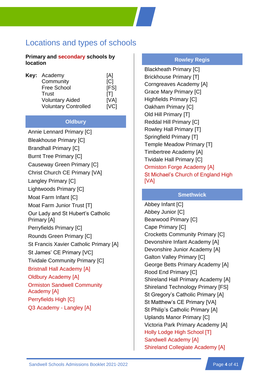## Locations and types of schools

### **Primary and secondary schools by location**

| Key: Academy                | [A]         |
|-----------------------------|-------------|
| Community                   | [C]         |
| <b>Free School</b>          | [FS]        |
| Trust                       | [T]         |
| <b>Voluntary Aided</b>      | [VA]        |
| <b>Voluntary Controlled</b> | <b>IVCI</b> |

### **Oldbury**

Annie Lennard Primary [C] Bleakhouse Primary [C] Brandhall Primary [C] Burnt Tree Primary [C] Causeway Green Primary [C] Christ Church CE Primary [VA] Langley Primary [C] Lightwoods Primary [C] Moat Farm Infant [C] Moat Farm Junior Trust [T] Our Lady and St Hubert's Catholic Primary [A] Perryfields Primary [C] Rounds Green Primary [C] St Francis Xavier Catholic Primary [A] St James' CE Primary [VC] Tividale Community Primary [C] Bristnall Hall Academy [A] Oldbury Academy [A] Ormiston Sandwell Community Academy [A] Perryfields High [C] Q3 Academy - Langley [A]

### **Rowley Regis**

Blackheath Primary [C] Brickhouse Primary [T] Corngreaves Academy [A] Grace Mary Primary [C] Highfields Primary [C] Oakham Primary [C] Old Hill Primary [T] Reddal Hill Primary [C] Rowley Hall Primary [T] Springfield Primary [T] Temple Meadow Primary [T] Timbertree Academy [A] Tividale Hall Primary [C] Ormiston Forge Academy [A] St Michael's Church of England High [VA]

### **Smethwick**

Abbey Infant [C] Abbey Junior [C] Bearwood Primary [C] Cape Primary [C] Crocketts Community Primary [C] Devonshire Infant Academy [A] Devonshire Junior Academy [A] Galton Valley Primary [C] George Betts Primary Academy [A] Rood End Primary [C] Shireland Hall Primary Academy [A] Shireland Technology Primary [FS] St Gregory's Catholic Primary [A] St Matthew's CE Primary [VA] St Philip's Catholic Primary [A] Uplands Manor Primary [C] Victoria Park Primary Academy [A] Holly Lodge High School [T] Sandwell Academy [A] **Shireland Collegiate Academy [A]**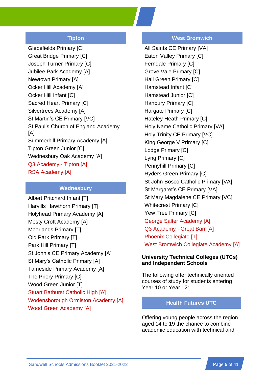### **Tipton**

Glebefields Primary [C] Great Bridge Primary [C] Joseph Turner Primary [C] Jubilee Park Academy [A] Newtown Primary [A] Ocker Hill Academy [A] Ocker Hill Infant [C] Sacred Heart Primary [C] Silvertrees Academy [A] St Martin's CE Primary [VC] St Paul's Church of England Academy [A] Summerhill Primary Academy [A] Tipton Green Junior [C] Wednesbury Oak Academy [A] Q3 Academy - Tipton [A] RSA Academy [A]

### **Wednesbury**

Albert Pritchard Infant [T] Harvills Hawthorn Primary [T] Holyhead Primary Academy [A] Mesty Croft Academy [A] Moorlands Primary [T] Old Park Primary [T] Park Hill Primary [T] St John's CE Primary Academy [A] St Mary's Catholic Primary [A] Tameside Primary Academy [A] The Priory Primary [C] Wood Green Junior [T] Stuart Bathurst Catholic High [A] Wodensborough Ormiston Academy [A] Wood Green Academy [A]

### **West Bromwich**

All Saints CE Primary [VA] Eaton Valley Primary [C] Ferndale Primary [C] Grove Vale Primary [C] Hall Green Primary [C] Hamstead Infant [C] Hamstead Junior [C] Hanbury Primary [C] Hargate Primary [C] Hateley Heath Primary [C] Holy Name Catholic Primary [VA] Holy Trinity CE Primary [VC] King George V Primary [C] Lodge Primary [C] Lyng Primary [C] Pennyhill Primary [C] Ryders Green Primary [C] St John Bosco Catholic Primary [VA] St Margaret's CE Primary [VA] St Mary Magdalene CE Primary [VC] Whitecrest Primary [C] Yew Tree Primary [C] George Salter Academy [A] Q3 Academy - Great Barr [A] Phoenix Collegiate [T] West Bromwich Collegiate Academy [A]

#### **University Technical Colleges (UTCs) and Independent Schools**

The following offer technically oriented courses of study for students entering Year 10 or Year 12:

#### **Health Futures UTC**

Offering young people across the region aged 14 to 19 the chance to combine academic education with technical and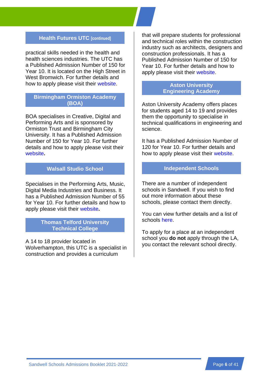### **Health Futures UTC [continued]**

practical skills needed in the health and health sciences industries. The UTC has a Published Admission Number of 150 for Year 10. It is located on the High Street in West Bromwich. For further details and how to apply please visit their [website.](http://www.healthfuturesutc.co.uk/)

### **Birmingham Ormiston Academy (BOA)**

BOA specialises in Creative, Digital and Performing Arts and is sponsored by Ormiston Trust and Birmingham City University. It has a Published Admission Number of 150 for Year 10. For further details and how to apply please visit their [website](http://www.boa-academy.co.uk/)**.**

### **Walsall Studio School**

Specialises in the Performing Arts, Music, Digital Media Industries and Business. It has a Published Admission Number of 55 for Year 10. For further details and how to apply please visit their [website](http://www.walsallstudioschool.co.uk/)**.**

### **Thomas Telford University Technical College**

A 14 to 18 provider located in Wolverhampton, this UTC is a specialist in construction and provides a curriculum

that will prepare students for professional and technical roles within the construction industry such as architects, designers and construction professionals. It has a Published Admission Number of 150 for Year 10. For further details and how to apply please visit their [website.](https://www.thomastelfordutc.com/)

### **Aston University Engineering Academy**

Aston University Academy offers places for students aged 14 to 19 and provides them the opportunity to specialise in technical qualifications in engineering and science.

It has a Published Admission Number of 120 for Year 10. For further details and how to apply please visit their [website.](http://www.auea.co.uk/)

### **Independent Schools**

There are a number of independent schools in Sandwell. If you wish to find out more information about these schools, please contact them directly.

You can view further details and a list of schools [here.](#page-42-1)

To apply for a place at an independent school you **do not** apply through the LA, you contact the relevant school directly.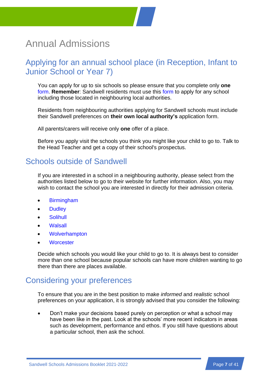## <span id="page-9-0"></span>Annual Admissions

## Applying for an annual school place (in Reception, Infant to Junior School or Year 7)

You can apply for up to six schools so please ensure that you complete only **one** [form.](https://sandwell.cloud.servelec-synergy.com/ParentPortal/default.aspx) **Remember**: Sandwell residents must use this [form](https://sandwell.cloud.servelec-synergy.com/ParentPortal/default.aspx) to apply for any school including those located in neighbouring local authorities.

Residents from neighbouring authorities applying for Sandwell schools must include their Sandwell preferences on **their own local authority's** application form.

All parents/carers will receive only **one** offer of a place.

Before you apply visit the schools you think you might like your child to go to. Talk to the Head Teacher and get a copy of their school's prospectus.

## Schools outside of Sandwell

If you are interested in a school in a neighbouring authority, please select from the authorities listed below to go to their website for further information. Also, you may wish to contact the school you are interested in directly for their admission criteria.

- **[Birmingham](https://www.birmingham.gov.uk/education)**
- **[Dudley](https://www.dudley.gov.uk/resident/learning-school/)**
- **[Solihull](http://www.solihull.gov.uk/admissions)**
- [Walsall](https://go.walsall.gov.uk/education)
- **[Wolverhampton](http://www.wolverhampton.gov.uk/article/2349/Schools-list)**
- **[Worcester](http://www.worcestershire.gov.uk/cms/school-information.aspx)**

Decide which schools you would like your child to go to. It is always best to consider more than one school because popular schools can have more children wanting to go there than there are places available.

## Considering your preferences

To ensure that you are in the best position to make *informed* and *realistic* school preferences on your application, it is strongly advised that you consider the following:

• Don't make your decisions based purely on perception or what a school may have been like in the past. Look at the schools' more recent indicators in areas such as development, performance and ethos. If you still have questions about a particular school, then ask the school.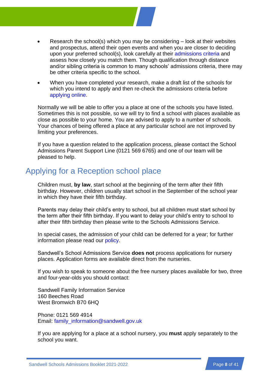- Research the school(s) which you may be considering look at their websites and prospectus, attend their open events and when you are closer to deciding upon your preferred school(s), look carefully at their [admissions criteria](#page-41-1) and assess how closely you match them. Though qualification through distance and/or sibling criteria is common to many schools' admissions criteria, there may be other criteria specific to the school.
- When you have completed your research, make a draft list of the schools for which you intend to apply and then re-check the admissions criteria before [applying online.](https://sandwell.cloud.servelec-synergy.com/ParentPortal/default.aspx)

Normally we will be able to offer you a place at one of the schools you have listed. Sometimes this is not possible, so we will try to find a school with places available as close as possible to your home. You are advised to apply to a number of schools. Your chances of being offered a place at any particular school are not improved by limiting your preferences.

If you have a question related to the application process, please contact the School Admissions Parent Support Line (0121 569 6765) and one of our team will be pleased to help.

## Applying for a Reception school place

Children must, **by law**, start school at the beginning of the term after their fifth birthday. However, children usually start school in the September of the school year in which they have their fifth birthday.

Parents may delay their child's entry to school, but all children must start school by the term after their fifth birthday. If you want to delay your child's entry to school to after their fifth birthday then please write to the Schools Admissions Service.

In special cases, the admission of your child can be deferred for a year; for further information please read our [policy.](#page-41-2)

Sandwell's School Admissions Service **does not** process applications for nursery places. Application forms are available direct from the nurseries.

If you wish to speak to someone about the free nursery places available for two, three and four-year-olds you should contact:

Sandwell Family Information Service 160 Beeches Road West Bromwich B70 6HQ

Phone: 0121 569 4914 Email: [family\\_information@sandwell.gov.uk](mailto:family_information@sandwell.gov.uk)

If you are applying for a place at a school nursery, you **must** apply separately to the school you want.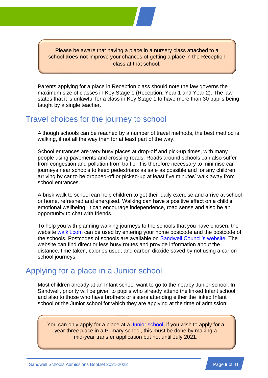Please be aware that having a place in a nursery class attached to a school **does not** improve your chances of getting a place in the Reception class at that school.

Parents applying for a place in Reception class should note the law governs the maximum size of classes in Key Stage 1 (Reception, Year 1 and Year 2). The law states that it is unlawful for a class in Key Stage 1 to have more than 30 pupils being taught by a single teacher.

### Travel choices for the journey to school

Although schools can be reached by a number of travel methods, the best method is walking, if not all the way then for at least part of the way.

School entrances are very busy places at drop-off and pick-up times, with many people using pavements and crossing roads. Roads around schools can also suffer from congestion and pollution from traffic. It is therefore necessary to minimise car journeys near schools to keep pedestrians as safe as possible and for any children arriving by car to be dropped-off or picked-up at least five minutes' walk away from school entrances.

A brisk walk to school can help children to get their daily exercise and arrive at school or home, refreshed and energised. Walking can have a positive effect on a child's emotional wellbeing. It can encourage independence, road sense and also be an opportunity to chat with friends.

To help you with planning walking journeys to the schools that you have chosen, the website [walkit.com](http://walkit.com/cities/sandwell/) can be used by entering your home postcode and the postcode of the schools. Postcodes of schools are available on [Sandwell Council's website.](http://www.sandwell.gov.uk/schools) The website can find direct or less busy routes and provide information about the distance, time taken, calories used, and carbon dioxide saved by not using a car on school journeys.

## Applying for a place in a Junior school

Most children already at an Infant school want to go to the nearby Junior school. In Sandwell, priority will be given to pupils who already attend the linked Infant school and also to those who have brothers or sisters attending either the linked Infant school or the Junior school for which they are applying at the time of admission:

You can only apply for a place at a [Junior school](https://sandwell.cloud.servelec-synergy.com/ParentPortal/default.aspx)**,** if you wish to apply for a year three place in a Primary school, this must be done by making a mid-year transfer application but not until July 2021.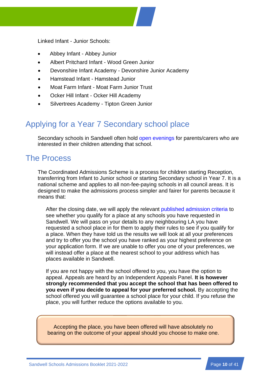Linked Infant - Junior Schools:

- Abbey Infant Abbey Junior
- Albert Pritchard Infant Wood Green Junior
- Devonshire Infant Academy Devonshire Junior Academy
- Hamstead Infant Hamstead Junior
- Moat Farm Infant Moat Farm Junior Trust
- Ocker Hill Infant Ocker Hill Academy
- Silvertrees Academy Tipton Green Junior

## Applying for a Year 7 Secondary school place

Secondary schools in Sandwell often hold [open evenings](#page-42-2) for parents/carers who are interested in their children attending that school.

## The Process

The Coordinated Admissions Scheme is a process for children starting Reception, transferring from Infant to Junior school or starting Secondary school in Year 7. It is a national scheme and applies to all non-fee-paying schools in all council areas. It is designed to make the admissions process simpler and fairer for parents because it means that:

After the closing date, we will apply the relevant [published admission criteria](#page-41-1) to see whether you qualify for a place at any schools you have requested in Sandwell. We will pass on your details to any neighbouring LA you have requested a school place in for them to apply their rules to see if you qualify for a place. When they have told us the results we will look at all your preferences and try to offer you the school you have ranked as your highest preference on your application form. If we are unable to offer you one of your preferences, we will instead offer a place at the nearest school to your address which has places available in Sandwell.

If you are not happy with the school offered to you, you have the option to appeal. Appeals are heard by an Independent Appeals Panel. **It is however strongly recommended that you accept the school that has been offered to you even if you decide to appeal for your preferred school.** By accepting the school offered you will guarantee a school place for your child. If you refuse the place, you will further reduce the options available to you.

Accepting the place, you have been offered will have absolutely no bearing on the outcome of your appeal should you choose to make one.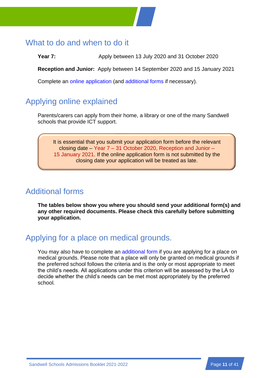## What to do and when to do it

**Year 7:** Apply between 13 July 2020 and 31 October 2020

**Reception and Junior:** Apply between 14 September 2020 and 15 January 2021

Complete an [online application](https://sandwell.cloud.servelec-synergy.com/ParentPortal/default.aspx) (and [additional forms](#page-41-3) if necessary).

## Applying online explained

Parents/carers can apply from their home, a library or one of the many Sandwell schools that provide ICT support.

It is essential that you submit your application form before the relevant closing date – Year 7 – 31 October 2020, Reception and Junior – 15 January 2021. If the online application form is not submitted by the closing date your application will be treated as late.

## Additional forms

**The tables below show you where you should send your additional form(s) and any other required documents. Please check this carefully before submitting your application.**

## Applying for a place on medical grounds.

You may also have to complete an [additional form](#page-41-4) if you are applying for a place on medical grounds. Please note that a place will only be granted on medical grounds if the preferred school follows the criteria and is the only or most appropriate to meet the child's needs. All applications under this criterion will be assessed by the LA to decide whether the child's needs can be met most appropriately by the preferred school.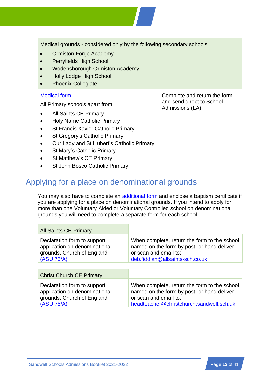| Medical grounds - considered only by the following secondary schools:<br>Ormiston Forge Academy<br>$\bullet$<br>Perryfields High School<br><b>Wodensborough Ormiston Academy</b><br>$\bullet$<br><b>Holly Lodge High School</b><br><b>Phoenix Collegiate</b><br>$\bullet$                                                                                                                                |                                                                               |
|----------------------------------------------------------------------------------------------------------------------------------------------------------------------------------------------------------------------------------------------------------------------------------------------------------------------------------------------------------------------------------------------------------|-------------------------------------------------------------------------------|
| <b>Medical form</b><br>All Primary schools apart from:<br>All Saints CE Primary<br>$\bullet$<br><b>Holy Name Catholic Primary</b><br>$\bullet$<br><b>St Francis Xavier Catholic Primary</b><br>٠<br>St Gregory's Catholic Primary<br>$\bullet$<br>Our Lady and St Hubert's Catholic Primary<br>$\bullet$<br>St Mary's Catholic Primary<br>٠<br>St Matthew's CE Primary<br>St John Bosco Catholic Primary | Complete and return the form,<br>and send direct to School<br>Admissions (LA) |

## Applying for a place on denominational grounds

You may also have to complete an [additional form](#page-41-3) and enclose a baptism certificate if you are applying for a place on denominational grounds. If you intend to apply for more than one Voluntary Aided or Voluntary Controlled school on denominational grounds you will need to complete a separate form for each school.

| <b>All Saints CE Primary</b>                                                                             |                                                                                                                                                                 |  |
|----------------------------------------------------------------------------------------------------------|-----------------------------------------------------------------------------------------------------------------------------------------------------------------|--|
| Declaration form to support<br>application on denominational<br>grounds, Church of England<br>(ASU 75/A) | When complete, return the form to the school<br>named on the form by post, or hand deliver<br>or scan and email to:<br>deb.fiddian@allsaints-sch.co.uk          |  |
|                                                                                                          |                                                                                                                                                                 |  |
| <b>Christ Church CE Primary</b>                                                                          |                                                                                                                                                                 |  |
| Declaration form to support<br>application on denominational<br>grounds, Church of England<br>(ASU 75/A) | When complete, return the form to the school<br>named on the form by post, or hand deliver<br>or scan and email to:<br>headteacher@christchurch.sandwell.sch.uk |  |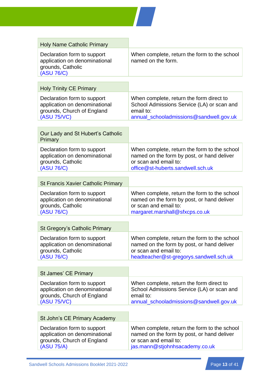

| <b>Holy Name Catholic Primary</b>                                                                         |                                                                                                                                                                |
|-----------------------------------------------------------------------------------------------------------|----------------------------------------------------------------------------------------------------------------------------------------------------------------|
| Declaration form to support<br>application on denominational<br>grounds, Catholic<br>(ASU 76/C)           | When complete, return the form to the school<br>named on the form.                                                                                             |
|                                                                                                           |                                                                                                                                                                |
| <b>Holy Trinity CE Primary</b>                                                                            |                                                                                                                                                                |
| Declaration form to support<br>application on denominational<br>grounds, Church of England<br>(ASU 75/VC) | When complete, return the form direct to<br>School Admissions Service (LA) or scan and<br>email to:<br>annual_schooladmissions@sandwell.gov.uk                 |
|                                                                                                           |                                                                                                                                                                |
| Our Lady and St Hubert's Catholic<br>Primary                                                              |                                                                                                                                                                |
| Declaration form to support<br>application on denominational<br>grounds, Catholic<br>(ASU 76/C)           | When complete, return the form to the school<br>named on the form by post, or hand deliver<br>or scan and email to:<br>office@st-huberts.sandwell.sch.uk       |
|                                                                                                           |                                                                                                                                                                |
| <b>St Francis Xavier Catholic Primary</b>                                                                 |                                                                                                                                                                |
| Declaration form to support<br>application on denominational<br>grounds, Catholic<br>(ASU 76/C)           | When complete, return the form to the school<br>named on the form by post, or hand deliver<br>or scan and email to:<br>margaret.marshall@sfxcps.co.uk          |
|                                                                                                           |                                                                                                                                                                |
| <b>St Gregory's Catholic Primary</b>                                                                      |                                                                                                                                                                |
| Declaration form to support<br>application on denominational<br>grounds, Catholic<br>(ASU 76/C)           | When complete, return the form to the school<br>named on the form by post, or hand deliver<br>or scan and email to:<br>headteacher@st-gregorys.sandwell.sch.uk |
|                                                                                                           |                                                                                                                                                                |
| <b>St James' CE Primary</b>                                                                               |                                                                                                                                                                |
| Declaration form to support<br>application on denominational<br>grounds, Church of England<br>(ASU 75/VC) | When complete, return the form direct to<br>School Admissions Service (LA) or scan and<br>email to:<br>annual_schooladmissions@sandwell.gov.uk                 |
|                                                                                                           |                                                                                                                                                                |
| St John's CE Primary Academy                                                                              |                                                                                                                                                                |
| Declaration form to support<br>application on denominational<br>grounds, Church of England<br>(ASU 75/A)  | When complete, return the form to the school<br>named on the form by post, or hand deliver<br>or scan and email to:<br>jas.mann@stjohnhsacademy.co.uk          |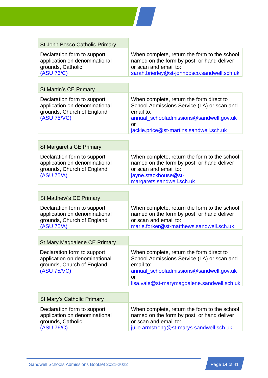

| <b>St John Bosco Catholic Primary</b>                                                                     |                                                                                                                                                                                                        |
|-----------------------------------------------------------------------------------------------------------|--------------------------------------------------------------------------------------------------------------------------------------------------------------------------------------------------------|
| Declaration form to support<br>application on denominational<br>grounds, Catholic<br>(ASU 76/C)           | When complete, return the form to the school<br>named on the form by post, or hand deliver<br>or scan and email to:<br>sarah.brierley@st-johnbosco.sandwell.sch.uk                                     |
|                                                                                                           |                                                                                                                                                                                                        |
| <b>St Martin's CE Primary</b>                                                                             |                                                                                                                                                                                                        |
| Declaration form to support<br>application on denominational<br>grounds, Church of England<br>(ASU 75/VC) | When complete, return the form direct to<br>School Admissions Service (LA) or scan and<br>email to:<br>annual_schooladmissions@sandwell.gov.uk<br><b>or</b><br>jackie.price@st-martins.sandwell.sch.uk |
|                                                                                                           |                                                                                                                                                                                                        |
| St Margaret's CE Primary                                                                                  |                                                                                                                                                                                                        |
| Declaration form to support<br>application on denominational<br>grounds, Church of England<br>(ASU 75/A)  | When complete, return the form to the school<br>named on the form by post, or hand deliver<br>or scan and email to:<br>jayne.stackhouse@st-<br>margarets.sandwell.sch.uk                               |
|                                                                                                           |                                                                                                                                                                                                        |
| <b>St Matthew's CE Primary</b>                                                                            |                                                                                                                                                                                                        |
| Declaration form to support<br>application on denominational<br>grounds, Church of England<br>(ASU 75/A)  | When complete, return the form to the school<br>named on the form by post, or hand deliver<br>or scan and email to:<br>marie.forker@st-matthews.sandwell.sch.uk                                        |
|                                                                                                           |                                                                                                                                                                                                        |
| St Mary Magdalene CE Primary                                                                              |                                                                                                                                                                                                        |
| Declaration form to support<br>application on denominational<br>grounds, Church of England<br>(ASU 75/VC) | When complete, return the form direct to<br>School Admissions Service (LA) or scan and<br>email to:<br>annual_schooladmissions@sandwell.gov.uk<br>or<br>lisa.vale@st-marymagdalene.sandwell.sch.uk     |
| St Mary's Catholic Primary                                                                                |                                                                                                                                                                                                        |
| Declaration form to support<br>application on denominational<br>grounds, Catholic<br>(ASU 76/C)           | When complete, return the form to the school<br>named on the form by post, or hand deliver<br>or scan and email to:<br>julie.armstrong@st-marys.sandwell.sch.uk                                        |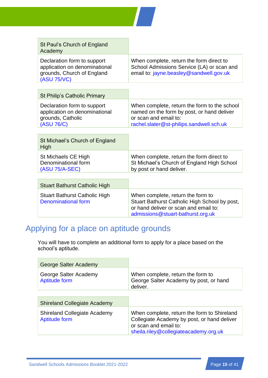

| St Paul's Church of England<br>Academy                                                                    |                                                                                                                                                                  |
|-----------------------------------------------------------------------------------------------------------|------------------------------------------------------------------------------------------------------------------------------------------------------------------|
| Declaration form to support<br>application on denominational<br>grounds, Church of England<br>(ASU 75/VC) | When complete, return the form direct to<br>School Admissions Service (LA) or scan and<br>email to: jayne.beasley@sandwell.gov.uk                                |
|                                                                                                           |                                                                                                                                                                  |
| St Philip's Catholic Primary                                                                              |                                                                                                                                                                  |
| Declaration form to support<br>application on denominational<br>grounds, Catholic<br>(ASU 76/C)           | When complete, return the form to the school<br>named on the form by post, or hand deliver<br>or scan and email to:<br>rachel.slater@st-philips.sandwell.sch.uk  |
|                                                                                                           |                                                                                                                                                                  |
| St Michael's Church of England<br>High                                                                    |                                                                                                                                                                  |
| St Michaels CE High<br>Denominational form<br>(ASU 75/A-SEC)                                              | When complete, return the form direct to<br>St Michael's Church of England High School<br>by post or hand deliver.                                               |
|                                                                                                           |                                                                                                                                                                  |
| <b>Stuart Bathurst Catholic High</b>                                                                      |                                                                                                                                                                  |
| Stuart Bathurst Catholic High<br><b>Denominational form</b>                                               | When complete, return the form to<br>Stuart Bathurst Catholic High School by post,<br>or hand deliver or scan and email to:<br>admissions@stuart-bathurst.org.uk |

## Applying for a place on aptitude grounds

You will have to complete an additional form to apply for a place based on the school's aptitude.

| George Salter Academy                                       |                                                                                                                                                              |
|-------------------------------------------------------------|--------------------------------------------------------------------------------------------------------------------------------------------------------------|
| George Salter Academy<br><b>Aptitude form</b>               | When complete, return the form to<br>George Salter Academy by post, or hand<br>deliver.                                                                      |
|                                                             |                                                                                                                                                              |
| <b>Shireland Collegiate Academy</b>                         |                                                                                                                                                              |
| <b>Shireland Collegiate Academy</b><br><b>Aptitude form</b> | When complete, return the form to Shireland<br>Collegiate Academy by post, or hand deliver<br>or scan and email to:<br>sheila.riley@collegiateacademy.org.uk |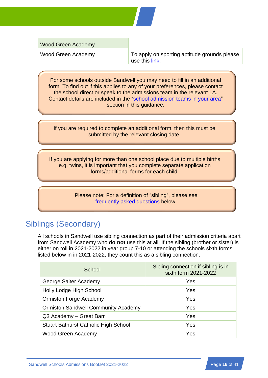Wood Green Academy

Wood Green Academy To apply on sporting aptitude grounds please use this [link.](https://www.woodgreenacademy.co.uk/sporting-aptitude-application-form/)

For some schools outside Sandwell you may need to fill in an additional form. To find out if this applies to any of your preferences, please contact the school direct or speak to the admissions team in the relevant LA. Contact details are included in the ["school admission teams in your area"](#page-38-1) section in this guidance.

If you are required to complete an additional form, then this must be submitted by the relevant closing date.

If you are applying for more than one school place due to multiple births e.g. twins, it is important that you complete separate application forms/additional forms for each child.

> Please note: For a definition of "sibling", please see [frequently asked questions](#page-22-0) below.

## Siblings (Secondary)

All schools in Sandwell use sibling connection as part of their admission criteria apart from Sandwell Academy who **do not** use this at all. If the sibling (brother or sister) is either on roll in 2021-2022 in year group 7-10 or attending the schools sixth forms listed below in in 2021-2022, they count this as a sibling connection.

| School                                      | Sibling connection if sibling is in<br>sixth form 2021-2022 |
|---------------------------------------------|-------------------------------------------------------------|
| George Salter Academy                       | Yes                                                         |
| Holly Lodge High School                     | Yes                                                         |
| <b>Ormiston Forge Academy</b>               | Yes                                                         |
| <b>Ormiston Sandwell Community Academy</b>  | Yes                                                         |
| Q3 Academy - Great Barr                     | Yes                                                         |
| <b>Stuart Bathurst Catholic High School</b> | Yes                                                         |
| Wood Green Academy                          | Yes                                                         |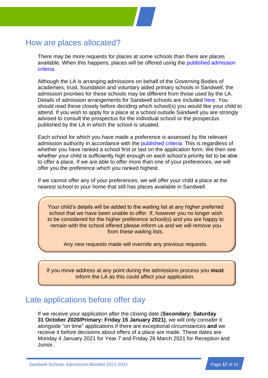## How are places allocated?

There may be more requests for places at some schools than there are places available. When this happens, places will be offered using the [published admission](#page-41-1) [criteria.](#page-41-1)

Although the LA is arranging admissions on behalf of the Governing Bodies of academies, trust, foundation and voluntary aided primary schools in Sandwell, the admission priorities for these schools may be different from those used by the LA. Details of admission arrangements for Sandwell schools are included [here.](#page-41-1) You should read these closely before deciding which school(s) you would like your child to attend. If you wish to apply for a place at a school outside Sandwell you are strongly advised to consult the prospectus for the individual school or the prospectus published by the LA in which the school is situated.

Each school for which you have made a preference is assessed by the relevant admission authority in accordance with the [published criteria.](#page-41-1) This is regardless of whether you have ranked a school first or last on the application form. We then see whether your child is sufficiently high enough on each school's priority list to be able to offer a place. If we are able to offer more than one of your preferences, we will offer you the preference which you ranked highest.

If we cannot offer any of your preferences, we will offer your child a place at the nearest school to your home that still has places available in Sandwell.

Your child's details will be added to the waiting list at any higher preferred school that we have been unable to offer. If, however you no longer wish to be considered for the higher preference school(s) and you are happy to remain with the school offered please inform us and we will remove you from these waiting lists.

Any new requests made will override any previous requests.

If you move address at any point during the admissions process you **must** inform the LA as this could affect your application.

## Late applications before offer day

If we receive your application after the closing date (**Secondary: Saturday 31 October 2020/Primary: Friday 15 January 2021)**, we will only consider it alongside "on time" applications if there are exceptional circumstances **and** we receive it before decisions about offers of a place are made. These dates are Monday 4 January 2021 for Year 7 and Friday 26 March 2021 for Reception and Junior.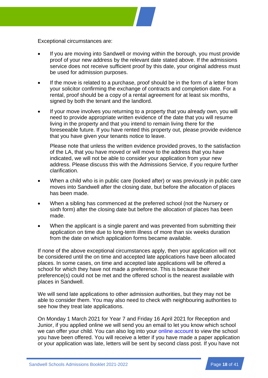<span id="page-20-0"></span>Exceptional circumstances are:

- If you are moving into Sandwell or moving within the borough, you must provide proof of your new address by the relevant date stated above. If the admissions service does not receive sufficient proof by this date, your original address must be used for admission purposes.
- If the move is related to a purchase, proof should be in the form of a letter from your solicitor confirming the exchange of contracts and completion date. For a rental, proof should be a copy of a rental agreement for at least six months, signed by both the tenant and the landlord.
- If your move involves you returning to a property that you already own, you will need to provide appropriate written evidence of the date that you will resume living in the property and that you intend to remain living there for the foreseeable future. If you have rented this property out, please provide evidence that you have given your tenants notice to leave.

Please note that unless the written evidence provided proves, to the satisfaction of the LA, that you have moved or will move to the address that you have indicated, we will not be able to consider your application from your new address. Please discuss this with the Admissions Service, if you require further clarification.

- When a child who is in public care (looked after) or was previously in public care moves into Sandwell after the closing date, but before the allocation of places has been made.
- When a sibling has commenced at the preferred school (not the Nursery or sixth form) after the closing date but before the allocation of places has been made.
- When the applicant is a single parent and was prevented from submitting their application on time due to long-term illness of more than six weeks duration from the date on which application forms became available.

If none of the above exceptional circumstances apply, then your application will not be considered until the on time and accepted late applications have been allocated places. In some cases, on time and accepted late applications will be offered a school for which they have not made a preference. This is because their preference(s) could not be met and the offered school is the nearest available with places in Sandwell.

We will send late applications to other admission authorities, but they may not be able to consider them. You may also need to check with neighbouring authorities to see how they treat late applications.

On Monday 1 March 2021 for Year 7 and Friday 16 April 2021 for Reception and Junior, if you applied online we will send you an email to let you know which school we can offer your child. You can also log into your [online account](https://sandwell.cloud.servelec-synergy.com/ParentPortal/default.aspx) to view the school you have been offered. You will receive a letter if you have made a paper application or your application was late, letters will be sent by second class post. If you have not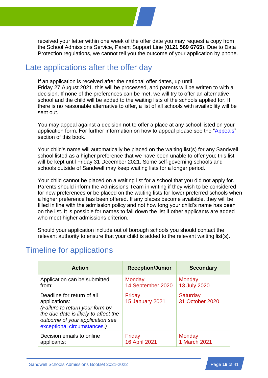received your letter within one week of the offer date you may request a copy from the School Admissions Service, Parent Support Line (**0121 569 6765**). Due to Data Protection regulations, we cannot tell you the outcome of your application by phone.

## Late applications after the offer day

If an application is received after the national offer dates, up until Friday 27 August 2021, this will be processed, and parents will be written to with a decision. If none of the preferences can be met, we will try to offer an alternative school and the child will be added to the waiting lists of the schools applied for. If there is no reasonable alternative to offer, a list of all schools with availability will be sent out.

You may appeal against a decision not to offer a place at any school listed on your application form. For further information on how to appeal please see the ["Appeals"](#page-31-0) section of this book.

Your child's name will automatically be placed on the waiting list(s) for any Sandwell school listed as a higher preference that we have been unable to offer you; this list will be kept until Friday 31 December 2021. Some self-governing schools and schools outside of Sandwell may keep waiting lists for a longer period.

Your child cannot be placed on a waiting list for a school that you did not apply for. Parents should inform the Admissions Team in writing if they wish to be considered for new preferences or be placed on the waiting lists for lower preferred schools when a higher preference has been offered. If any places become available, they will be filled in line with the admission policy and not how long your child's name has been on the list. It is possible for names to fall down the list if other applicants are added who meet higher admissions criterion.

Should your application include out of borough schools you should contact the relevant authority to ensure that your child is added to the relevant waiting list(s).

## Timeline for applications

| <b>Action</b>                                                                                                                                                                            | <b>Reception/Junior</b>          | <b>Secondary</b>            |
|------------------------------------------------------------------------------------------------------------------------------------------------------------------------------------------|----------------------------------|-----------------------------|
| Application can be submitted                                                                                                                                                             | Monday                           | Monday                      |
| from:                                                                                                                                                                                    | 14 September 2020                | 13 July 2020                |
| Deadline for return of all<br>applications:<br>(Failure to return your form by<br>the due date is likely to affect the<br>outcome of your application see<br>exceptional circumstances.) | Friday<br><b>15 January 2021</b> | Saturday<br>31 October 2020 |
| Decision emails to online                                                                                                                                                                | Friday                           | Monday                      |
| applicants:                                                                                                                                                                              | <b>16 April 2021</b>             | 1 March 2021                |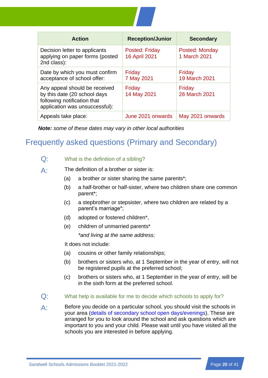

| <b>Action</b>                                                                                                                  | <b>Reception/Junior</b>         | <b>Secondary</b>               |
|--------------------------------------------------------------------------------------------------------------------------------|---------------------------------|--------------------------------|
| Decision letter to applicants<br>applying on paper forms (posted<br>2nd class):                                                | Posted: Friday<br>16 April 2021 | Posted: Monday<br>1 March 2021 |
| Date by which you must confirm<br>acceptance of school offer:                                                                  | Friday<br>7 May 2021            | Friday<br>19 March 2021        |
| Any appeal should be received<br>by this date (20 school days<br>following notification that<br>application was unsuccessful): | Friday<br>14 May 2021           | Friday<br>26 March 2021        |
| Appeals take place:                                                                                                            | June 2021 onwards               | May 2021 onwards               |

*Note: some of these dates may vary in other local authorities*

## <span id="page-22-0"></span>Frequently asked questions (Primary and Secondary)

### Q: What is the definition of a sibling?

 $A<sup>+</sup>$  The definition of a brother or sister is:

- (a) a brother or sister sharing the same parents\*;
- (b) a half-brother or half-sister, where two children share one common parent\*;
- (c) a stepbrother or stepsister, where two children are related by a parent's marriage\*;
- (d) adopted or fostered children\*,
- (e) children of unmarried parents\*

*\*and living at the same address;*

It does not include:

- (a) cousins or other family relationships;
- (b) brothers or sisters who, at 1 September in the year of entry, will not be registered pupils at the preferred school;
- (c) brothers or sisters who, at 1 September in the year of entry, will be in the sixth form at the preferred school.
- Q: What help is available for me to decide which schools to apply for?
- A: Before you decide on a particular school, you should visit the schools in your area [\(details of secondary school open days/evenings\)](#page-42-2). These are arranged for you to look around the school and ask questions which are important to you and your child. Please wait until you have visited all the schools you are interested in before applying.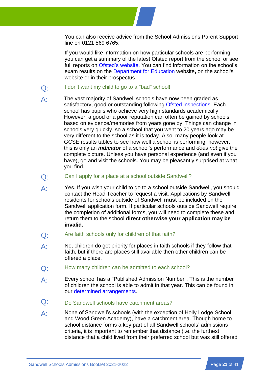

You can also receive advice from the School Admissions Parent Support line on 0121 569 6765.

If you would like information on how particular schools are performing, you can get a summary of the latest Ofsted report from the school or see full reports on [Ofsted's website.](http://www.ofsted.gov.uk/) You can find information on the school's exam results on the [Department for Education](https://www.gov.uk/government/organisations/department-for-education) website**,** on the school's website or in their prospectus.

- Q: I don't want my child to go to a "bad" school!
- A: The vast majority of Sandwell schools have now been graded as satisfactory, good or outstanding following [Ofsted inspections.](http://www.ofsted.gov.uk/) Each school has pupils who achieve very high standards academically. However, a good or a poor reputation can often be gained by schools based on evidence/memories from years gone by. Things can change in schools very quickly, so a school that you went to 20 years ago may be very different to the school as it is today. Also, many people look at GCSE results tables to see how well a school is performing, however, this is only an *indicator* of a school's performance and *does not* give the complete picture. Unless you have personal experience (and even if you have), go and visit the schools. You may be pleasantly surprised at what you find.
- Q: Can I apply for a place at a school outside Sandwell?
- A: Yes. If you wish your child to go to a school outside Sandwell, you should contact the Head Teacher to request a visit. Applications by Sandwell residents for schools outside of Sandwell **must** be included on the Sandwell application form. If particular schools outside Sandwell require the completion of additional forms, you will need to complete these and return them to the school **direct otherwise your application may be invalid.**
- Q: Are faith schools only for children of that faith?
- A: No, children do get priority for places in faith schools if they follow that faith, but if there are places still available then other children can be offered a place.
- Q: How many children can be admitted to each school?
- A: Every school has a "Published Admission Number". This is the number of children the school is able to admit in that year. This can be found in our [determined arrangements.](#page-41-1)
- Q: Do Sandwell schools have catchment areas?
- A: None of Sandwell's schools (with the exception of Holly Lodge School and Wood Green Academy), have a catchment area. Though home to school distance forms a key part of all Sandwell schools' admissions criteria, it is important to remember that distance (i.e. the furthest distance that a child lived from their preferred school but was still offered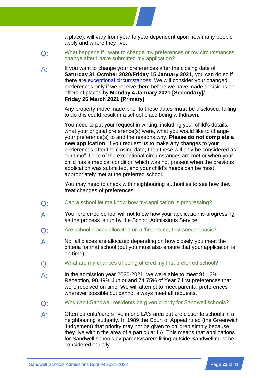a place), will vary from year to year dependent upon how many people apply and where they live.

- Q: What happens if I want to change my preferences or my circumstances change after I have submitted my application?
- A: If you want to change your preferences after the closing date of **Saturday 31 October 2020**/**Friday 15 January 2021**, you can do so if there are [exceptional circumstances.](#page-20-0) We will consider your changed preferences only if we receive them before we have made decisions on offers of places by **Monday 4 January 2021 [Secondary]/ Friday 26 March 2021 [Primary]**.

Any property move made prior to these dates **must be** disclosed, failing to do this could result in a school place being withdrawn.

You need to put your request in writing, including your child's details, what your original preference(s) were, what you would like to change your preference(s) to and the reasons why. **Please do not complete a new application**. If you request us to make any changes to your preferences after the closing date, then these will only be considered as "on time" if one of the exceptional circumstances are met or when your child has a medical condition which was not present when the previous application was submitted, and your child's needs can be most appropriately met at the preferred school.

You may need to check with neighbouring authorities to see how they treat changes of preferences.

- Q: Can a school let me know how my application is progressing?
- A: Your preferred school will not know how your application is progressing as the process is run by the School Admissions Service.
- Q: Are school places allocated on a 'first-come, first-served' basis?
- A: No, all places are allocated depending on how closely you meet the criteria for that school (but you must also ensure that your application is on time).
- Q: What are my chances of being offered my first preferred school?
- A: In the admission year 2020-2021, we were able to meet 91.12% Reception, 98.49% Junior and 74.75% of Year 7 first preferences that were received on time. We will attempt to meet parental preferences wherever possible but cannot always meet all requests.
- Q: Why can't Sandwell residents be given priority for Sandwell schools?
- $\mathsf{A}$  Often parents/carers live in one LA's area but are closer to schools in a neighbouring authority. In 1989 the Court of Appeal ruled (the Greenwich Judgement) that priority may not be given to children simply because they live within the area of a particular LA. This means that applications for Sandwell schools by parents/carers living outside Sandwell must be considered equally.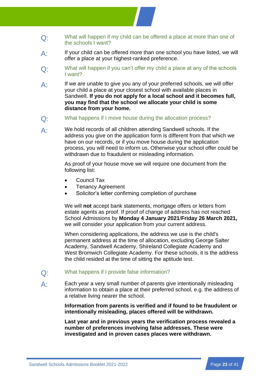- Q: What will happen if my child can be offered a place at more than one of the schools I want?
- $A$  If your child can be offered more than one school you have listed, we will offer a place at your highest-ranked preference.
- $Q<sub>i</sub>$  What will happen if you can't offer my child a place at any of the schools I want?
- $\mathsf{A}$  If we are unable to give you any of your preferred schools, we will offer your child a place at your closest school with available places in Sandwell. **If you do not apply for a local school and it becomes full, you may find that the school we allocate your child is some distance from your home.**
- Q: What happens if I move house during the allocation process?
- A: We hold records of all children attending Sandwell schools. If the address you give on the application form is different from that which we have on our records, or if you move house during the application process, you will need to inform us. Otherwise your school offer could be withdrawn due to fraudulent or misleading information.

As proof of your house move we will require one document from the following list:

- Council Tax
- Tenancy Agreement
- Solicitor's letter confirming completion of purchase

We will **not** accept bank statements, mortgage offers or letters from estate agents as proof. If proof of change of address has not reached School Admissions by **Monday 4 January 2021**/**Friday 26 March 2021,** we will consider your application from your current address.

When considering applications, the address we use is the child's permanent address at the time of allocation, excluding George Salter Academy, Sandwell Academy, Shireland Collegiate Academy and West Bromwich Collegiate Academy. For these schools, it is the address the child resided at the time of sitting the aptitude test.

- Q: What happens if I provide false information?
- A: Each year a very small number of parents give intentionally misleading information to obtain a place at their preferred school, e.g. the address of a relative living nearer the school.

**Information from parents is verified and if found to be fraudulent or intentionally misleading, places offered will be withdrawn.**

**Last year and in previous years the verification process revealed a number of preferences involving false addresses. These were investigated and in proven cases places were withdrawn.**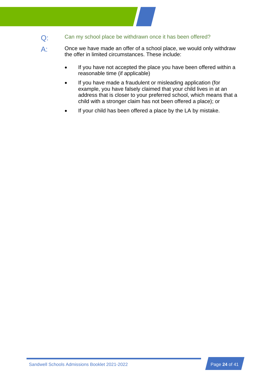- Q: Can my school place be withdrawn once it has been offered?
- $\mathsf{A}$  Once we have made an offer of a school place, we would only withdraw the offer in limited circumstances. These include:
	- If you have not accepted the place you have been offered within a reasonable time (if applicable)
	- If you have made a fraudulent or misleading application (for example, you have falsely claimed that your child lives in at an address that is closer to your preferred school, which means that a child with a stronger claim has not been offered a place); or
	- If your child has been offered a place by the LA by mistake.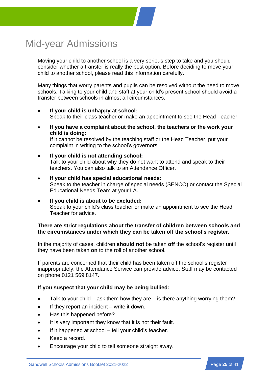## <span id="page-27-0"></span>Mid-year Admissions

Moving your child to another school is a very serious step to take and you should consider whether a transfer is really the best option. Before deciding to move your child to another school, please read this information carefully.

Many things that worry parents and pupils can be resolved without the need to move schools. Talking to your child and staff at your child's present school should avoid a transfer between schools in almost all circumstances.

- **If your child is unhappy at school:**  Speak to their class teacher or make an appointment to see the Head Teacher.
- **If you have a complaint about the school, the teachers or the work your child is doing:**

If it cannot be resolved by the teaching staff or the Head Teacher, put your complaint in writing to the school's governors.

- **If your child is not attending school:**  Talk to your child about why they do not want to attend and speak to their teachers. You can also talk to an Attendance Officer.
- **If your child has special educational needs:**  Speak to the teacher in charge of special needs (SENCO) or contact the Special Educational Needs Team at your LA.
- **If you child is about to be excluded:**  Speak to your child's class teacher or make an appointment to see the Head Teacher for advice.

### **There are strict regulations about the transfer of children between schools and the circumstances under which they can be taken off the school's register.**

In the majority of cases, children **should not** be taken **off** the school's register until they have been taken **on** to the roll of another school.

If parents are concerned that their child has been taken off the school's register inappropriately, the Attendance Service can provide advice. Staff may be contacted on phone 0121 569 8147.

### **If you suspect that your child may be being bullied:**

- Talk to your child ask them how they are is there anything worrying them?
- If they report an incident  $-$  write it down.
- Has this happened before?
- It is very important they know that it is not their fault.
- If it happened at school tell your child's teacher.
- Keep a record.
- Encourage your child to tell someone straight away.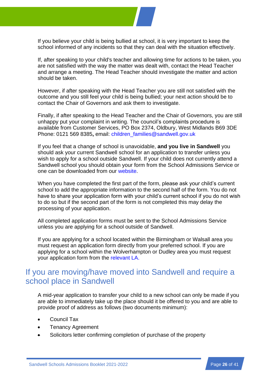

If, after speaking to your child's teacher and allowing time for actions to be taken, you are not satisfied with the way the matter was dealt with, contact the Head Teacher and arrange a meeting. The Head Teacher should investigate the matter and action should be taken.

However, if after speaking with the Head Teacher you are still not satisfied with the outcome and you still feel your child is being bullied; your next action should be to contact the Chair of Governors and ask them to investigate.

Finally, if after speaking to the Head Teacher and the Chair of Governors, you are still unhappy put your complaint in writing. The council's complaints procedure is available from Customer Services, PO Box 2374, Oldbury, West Midlands B69 3DE Phone: 0121 569 8385**,** email: [children\\_families@sandwell.gov.uk](mailto:contact@sandwell.gov.uk)

If you feel that a change of school is unavoidable, **and you live in Sandwell** you should ask your current Sandwell school for an application to transfer unless you wish to apply for a school outside Sandwell. If your child does not currently attend a Sandwell school you should obtain your form from the School Admissions Service or one can be downloaded from our [website.](http://www.sandwell.gov.uk/info/200303/school_admissions/2053/changing_schools)

When you have completed the first part of the form, please ask your child's current school to add the appropriate information to the second half of the form. You do not have to share your application form with your child's current school if you do not wish to do so but if the second part of the form is not completed this may delay the processing of your application.

All completed application forms must be sent to the School Admissions Service unless you are applying for a school outside of Sandwell.

If you are applying for a school located within the Birmingham or Walsall area you must request an application form directly from your preferred school. If you are applying for a school within the Wolverhampton or Dudley area you must request your application form from the [relevant](#page-38-1) LA.

## If you are moving/have moved into Sandwell and require a school place in Sandwell

A mid-year application to transfer your child to a new school can only be made if you are able to immediately take up the place should it be offered to you and are able to provide proof of address as follows (two documents minimum):

- Council Tax
- **Tenancy Agreement**
- Solicitors letter confirming completion of purchase of the property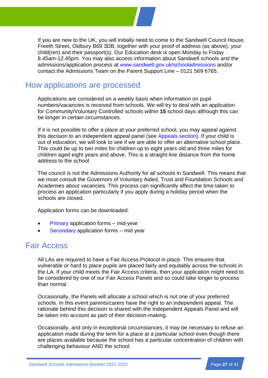If you are new to the UK, you will initially need to come to the Sandwell Council House, Freeth Street, Oldbury B69 3DB, together with your proof of address (as above), your child(ren) and their passport(s). Our Education desk is open Monday to Friday 8.45am-12.45pm. You may also access information about Sandwell schools and the admissions/application process at [www.sandwell.gov.uk/schooladmissions](http://www.sandwell.gov.uk/schooladmissions) and/or contact the Admissions Team on the Parent Support Line – 0121 569 6765.

## How applications are processed

Applications are considered on a weekly basis when information on pupil numbers/vacancies is received from schools. We will try to deal with an application for Community/Voluntary Controlled schools within **15** school days although this can be longer in certain circumstances.

If it is not possible to offer a place at your preferred school, you may appeal against this decision to an independent appeal panel (see [Appeals section\)](#page-31-0). If your child is out of education, we will look to see if we are able to offer an alternative school place. This could be up to two miles for children up to eight years old and three miles for children aged eight years and above. This is a straight-line distance from the home address to the school.

The council is not the Admissions Authority for all schools in Sandwell. This means that we must consult the Governors of Voluntary Aided, Trust and Foundation Schools and Academies about vacancies. This process can significantly affect the time taken to process an application particularly if you apply during a holiday period when the schools are closed.

Application forms can be downloaded:

- [Primary](http://www.sandwell.gov.uk/downloads/download/1423/il2_mid_year_primary_application_form) application forms mid-year
- [Secondary](http://www.sandwell.gov.uk/downloads/download/1424/il2_secondary_mid-year_application_form) application forms mid year

## Fair Access

All LAs are required to have a Fair Access Protocol in place. This ensures that vulnerable or hard to place pupils are placed fairly and equitably across the schools in the LA. If your child meets the Fair Access criteria, then your application might need to be considered by one of our Fair Access Panels and so could take longer to process than normal.

Occasionally, the Panels will allocate a school which is not one of your preferred schools. In this event parents/carers have the right to an independent appeal. The rationale behind this decision is shared with the Independent Appeals Panel and will be taken into account as part of their decision-making.

Occasionally, and only in exceptional circumstances, it may be necessary to refuse an application made during the term for a place at a particular school even though there are places available because the school has a particular concentration of children with challenging behaviour AND the school: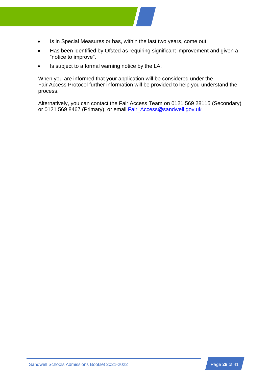

- Is in Special Measures or has, within the last two years, come out.
- Has been identified by Ofsted as requiring significant improvement and given a "notice to improve".
- Is subject to a formal warning notice by the LA.

When you are informed that your application will be considered under the Fair Access Protocol further information will be provided to help you understand the process.

Alternatively, you can contact the Fair Access Team on 0121 569 28115 (Secondary) or 0121 569 8467 (Primary), or email [Fair\\_Access@sandwell.gov.uk](mailto:Fair_Access@sandwell.gov.uk)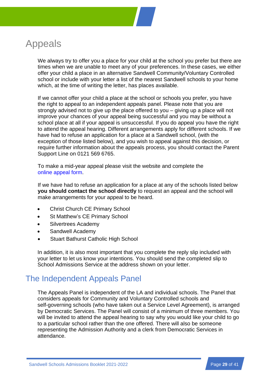<span id="page-31-0"></span>

We always try to offer you a place for your child at the school you prefer but there are times when we are unable to meet any of your preferences. In these cases, we either offer your child a place in an alternative Sandwell Community/Voluntary Controlled school or include with your letter a list of the nearest Sandwell schools to your home which, at the time of writing the letter, has places available.

If we cannot offer your child a place at the school or schools you prefer, you have the right to appeal to an independent appeals panel. Please note that you are strongly advised not to give up the place offered to you – giving up a place will not improve your chances of your appeal being successful and you may be without a school place at all if your appeal is unsuccessful. If you do appeal you have the right to attend the appeal hearing. Different arrangements apply for different schools. If we have had to refuse an application for a place at a Sandwell school, (with the exception of those listed below), and you wish to appeal against this decision, or require further information about the appeals process, you should contact the Parent Support Line on 0121 569 6765.

To make a mid-year appeal please visit the website and complete the online [appeal](https://www.sandwell.gov.uk/forms/form/141/en/school_admissions_midyear_appeal_form) form.

If we have had to refuse an application for a place at any of the schools listed below **you should contact the school directly** to request an appeal and the school will make arrangements for your appeal to be heard.

- Christ Church CE Primary School
- St Matthew's CE Primary School
- Silvertrees Academy
- Sandwell Academy
- **Stuart Bathurst Catholic High School**

In addition, it is also most important that you complete the reply slip included with your letter to let us know your intentions. You should send the completed slip to School Admissions Service at the address shown on your letter.

## The Independent Appeals Panel

The Appeals Panel is independent of the LA and individual schools. The Panel that considers appeals for Community and Voluntary Controlled schools and self-governing schools (who have taken out a Service Level Agreement), is arranged by Democratic Services. The Panel will consist of a minimum of three members. You will be invited to attend the appeal hearing to say why you would like your child to go to a particular school rather than the one offered. There will also be someone representing the Admission Authority and a clerk from Democratic Services in attendance.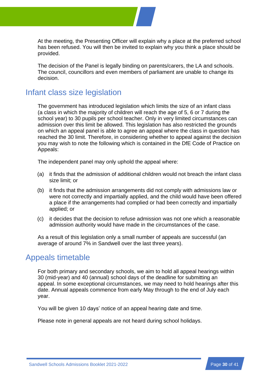At the meeting, the Presenting Officer will explain why a place at the preferred school has been refused. You will then be invited to explain why you think a place should be provided.

The decision of the Panel is legally binding on parents/carers, the LA and schools. The council, councillors and even members of parliament are unable to change its decision.

## Infant class size legislation

The government has introduced legislation which limits the size of an infant class (a class in which the majority of children will reach the age of 5, 6 or 7 during the school year) to 30 pupils per school teacher. Only in very limited circumstances can admission over this limit be allowed. This legislation has also restricted the grounds on which an appeal panel is able to agree an appeal where the class in question has reached the 30 limit. Therefore, in considering whether to appeal against the decision you may wish to note the following which is contained in the DfE Code of Practice on Appeals:

The independent panel may only uphold the appeal where:

- (a) it finds that the admission of additional children would not breach the infant class size limit; or
- (b) it finds that the admission arrangements did not comply with admissions law or were not correctly and impartially applied, and the child would have been offered a place if the arrangements had complied or had been correctly and impartially applied; or
- (c) it decides that the decision to refuse admission was not one which a reasonable admission authority would have made in the circumstances of the case.

As a result of this legislation only a small number of appeals are successful (an average of around 7% in Sandwell over the last three years).

### Appeals timetable

For both primary and secondary schools, we aim to hold all appeal hearings within 30 (mid-year) and 40 (annual) school days of the deadline for submitting an appeal. In some exceptional circumstances, we may need to hold hearings after this date. Annual appeals commence from early May through to the end of July each year.

You will be given 10 days' notice of an appeal hearing date and time.

Please note in general appeals are not heard during school holidays.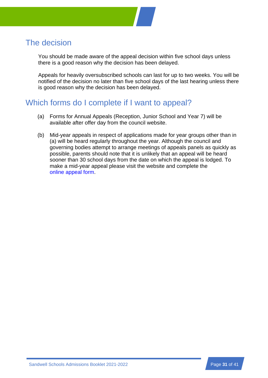

You should be made aware of the appeal decision within five school days unless there is a good reason why the decision has been delayed.

Appeals for heavily oversubscribed schools can last for up to two weeks. You will be notified of the decision no later than five school days of the last hearing unless there is good reason why the decision has been delayed.

## Which forms do I complete if I want to appeal?

- (a) Forms for Annual Appeals (Reception, Junior School and Year 7) will be available after offer day from the council website.
- (b) Mid-year appeals in respect of applications made for year groups other than in (a) will be heard regularly throughout the year. Although the council and governing bodies attempt to arrange meetings of appeals panels as quickly as possible, parents should note that it is unlikely that an appeal will be heard sooner than 30 school days from the date on which the appeal is lodged. To make a mid-year appeal please visit the website and complete the online [appeal](http://www.sandwell.gov.uk/info/200303/school_admissions/2054/pupil_admissions_appeal) form.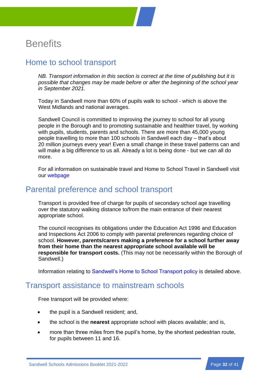

## <span id="page-34-0"></span>**Benefits**

## <span id="page-34-1"></span>Home to school transport

*NB. Transport information in this section is correct at the time of publishing but it is possible that changes may be made before or after the beginning of the school year in September 2021.*

Today in Sandwell more than 60% of pupils walk to school - which is above the West Midlands and national averages.

Sandwell Council is committed to improving the journey to school for all young people in the Borough and to promoting sustainable and healthier travel, by working with pupils, students, parents and schools. There are more than 45,000 young people travelling to more than 100 schools in Sandwell each day – that's about 20 million journeys every year! Even a small change in these travel patterns can and will make a big difference to us all. Already a lot is being done - but we can all do more.

For all information on sustainable travel and Home to School Travel in Sandwell visit our [webpage](http://www.sandwell.gov.uk/schooltravel)

## Parental preference and school transport

Transport is provided free of charge for pupils of secondary school age travelling over the statutory walking distance to/from the main entrance of their nearest appropriate school.

The council recognises its obligations under the Education Act 1996 and Education and Inspections Act 2006 to comply with parental preferences regarding choice of school. **However, parents/carers making a preference for a school further away from their home than the nearest appropriate school available will be responsible for transport costs.** (This may not be necessarily within the Borough of Sandwell.)

Information relating to [Sandwell's Home to School Transport policy](#page-34-1) is detailed above.

## Transport assistance to mainstream schools

Free transport will be provided where:

- the pupil is a Sandwell resident: and,
- the school is the **nearest** appropriate school with places available; and is,
- more than three miles from the pupil's home, by the shortest pedestrian route, for pupils between 11 and 16.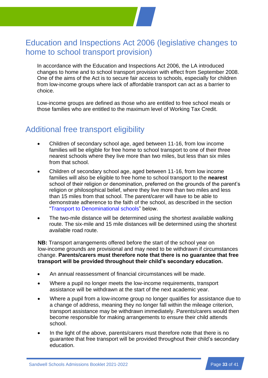

## Education and Inspections Act 2006 (legislative changes to home to school transport provision)

In accordance with the Education and Inspections Act 2006, the LA introduced changes to home and to school transport provision with effect from September 2008. One of the aims of the Act is to secure fair access to schools, especially for children from low-income groups where lack of affordable transport can act as a barrier to choice.

Low-income groups are defined as those who are entitled to free school meals or those families who are entitled to the maximum level of Working Tax Credit.

## Additional free transport eligibility

- Children of secondary school age, aged between 11-16, from low income families will be eligible for free home to school transport to one of their three nearest schools where they live more than two miles, but less than six miles from that school.
- Children of secondary school age, aged between 11-16, from low income families will also be eligible to free home to school transport to the **nearest** school of their religion or denomination, preferred on the grounds of the parent's religion or philosophical belief, where they live more than two miles and less than 15 miles from that school. The parent/carer will have to be able to demonstrate adherence to the faith of the school, as described in the section ["Transport to Denominational schools"](#page-36-0) below.
- The two-mile distance will be determined using the shortest available walking route. The six-mile and 15 mile distances will be determined using the shortest available road route.

**NB:** Transport arrangements offered before the start of the school year on low-income grounds are provisional and may need to be withdrawn if circumstances change. **Parents/carers must therefore note that there is no guarantee that free transport will be provided throughout their child's secondary education.**

- An annual reassessment of financial circumstances will be made.
- Where a pupil no longer meets the low-income requirements, transport assistance will be withdrawn at the start of the next academic year.
- Where a pupil from a low-income group no longer qualifies for assistance due to a change of address, meaning they no longer fall within the mileage criterion, transport assistance may be withdrawn immediately. Parents/carers would then become responsible for making arrangements to ensure their child attends school.
- In the light of the above, parents/carers must therefore note that there is no guarantee that free transport will be provided throughout their child's secondary education.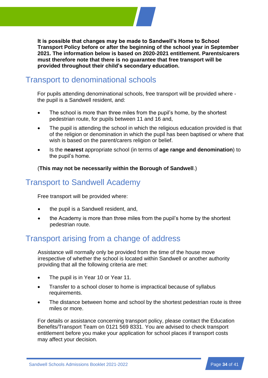**It is possible that changes may be made to Sandwell's Home to School Transport Policy before or after the beginning of the school year in September 2021. The information below is based on 2020-2021 entitlement. Parents/carers must therefore note that there is no guarantee that free transport will be provided throughout their child's secondary education.**

## <span id="page-36-0"></span>Transport to denominational schools

For pupils attending denominational schools, free transport will be provided where the pupil is a Sandwell resident, and:

- The school is more than three miles from the pupil's home, by the shortest pedestrian route, for pupils between 11 and 16 and,
- The pupil is attending the school in which the religious education provided is that of the religion or denomination in which the pupil has been baptised or where that wish is based on the parent/carers religion or belief.
- Is the **nearest** appropriate school (in terms of **age range and denomination**) to the pupil's home.

(**This may not be necessarily within the Borough of Sandwell**.)

## Transport to Sandwell Academy

Free transport will be provided where:

- the pupil is a Sandwell resident, and,
- the Academy is more than three miles from the pupil's home by the shortest pedestrian route.

## Transport arising from a change of address

Assistance will normally only be provided from the time of the house move irrespective of whether the school is located within Sandwell or another authority providing that all the following criteria are met:

- The pupil is in Year 10 or Year 11.
- Transfer to a school closer to home is impractical because of syllabus requirements.
- The distance between home and school by the shortest pedestrian route is three miles or more.

For details or assistance concerning transport policy, please contact the Education Benefits/Transport Team on 0121 569 8331. You are advised to check transport entitlement before you make your application for school places if transport costs may affect your decision.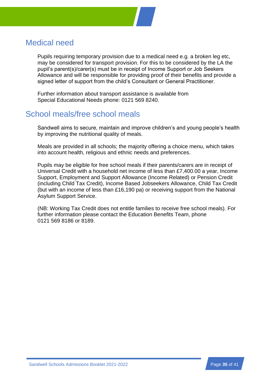

Pupils requiring temporary provision due to a medical need e.g. a broken leg etc, may be considered for transport provision. For this to be considered by the LA the pupil's parent(s)/carer(s) must be in receipt of Income Support or Job Seekers Allowance and will be responsible for providing proof of their benefits and provide a signed letter of support from the child's Consultant or General Practitioner.

Further information about transport assistance is available from Special Educational Needs phone: 0121 569 8240.

## School meals/free school meals

Sandwell aims to secure, maintain and improve children's and young people's health by improving the nutritional quality of meals.

Meals are provided in all schools; the majority offering a choice menu, which takes into account health, religious and ethnic needs and preferences.

Pupils may be eligible for free school meals if their parents/carers are in receipt of Universal Credit with a household net income of less than £7,400.00 a year, Income Support, Employment and Support Allowance (Income Related) or Pension Credit (including Child Tax Credit), Income Based Jobseekers Allowance, Child Tax Credit (but with an income of less than £16,190 pa) or receiving support from the National Asylum Support Service.

(NB: Working Tax Credit does not entitle families to receive free school meals). For further information please contact the Education Benefits Team, phone 0121 569 8186 or 8189.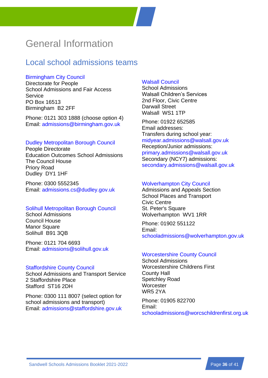## <span id="page-38-0"></span>General Information

## <span id="page-38-1"></span>Local school admissions teams

### [Birmingham City Council](https://www.birmingham.gov.uk/education)

Directorate for People School Admissions and Fair Access **Service** PO Box 16513 Birmingham B2 2FF

Phone: 0121 303 1888 (choose option 4) Email: [admissions@birmingham.gov.uk](mailto:admissions@birmingham.gov.uk)

### [Dudley Metropolitan Borough Council](https://www.dudley.gov.uk/resident/learning-school/)

People Directorate Education Outcomes School Admissions The Council House Priory Road Dudley DY1 1HF

Phone: 0300 5552345 Email: [admissions.cs@dudley.gov.uk](mailto:admissions.cs@dudley.gov.uk)

#### [Solihull Metropolitan Borough Council](http://www.solihull.gov.uk/admissions)

School Admissions Council House **Manor Square** Solihull B91 3QB

Phone: 0121 704 6693 Email: [admissions@solihull.gov.uk](mailto:admissions@solihull.gov.uk)

#### [Staffordshire County Council](http://www.staffordshire.gov.uk/Homepage.aspx)

School Admissions and Transport Service 2 Staffordshire Place Stafford ST16 2DH

Phone: 0300 111 8007 (select option for school admissions and transport) Email: [admissions@staffordshire.gov.uk](mailto:admissions@staffordshire.gov.uk)

### [Walsall Council](https://go.walsall.gov.uk/education)

School Admissions Walsall Children's Services 2nd Floor, Civic Centre Darwall Street Walsall WS1 1TP

Phone: 01922 652585 Email addresses: Transfers during school year: [midyear.admissions@walsall.gov.uk](mailto:midyear.admissions@walsall.gov.uk) Reception/Junior admissions: [primary.admissions@walsall.gov.uk](mailto:primary.admissions@walsall.gov.uk) Secondary (NCY7) admissions: [secondary.admissions@walsall.gov.uk](mailto:secondary.admissions@walsall.gov.uk)

#### [Wolverhampton City Council](http://www.wolverhampton.gov.uk/)

Admissions and Appeals Section School Places and Transport Civic Centre St. Peter's Square Wolverhampton WV1 1RR

Phone: 01902 551122 Email: [schooladmissions@wolverhampton.gov.uk](mailto:schooladmissions@wolverhampton.gov.uk)

#### [Worcestershire County Council](http://www.worcestershire.gov.uk/)

School Admissions Worcestershire Childrens First County Hall Spetchley Road **Worcester** WR5 2YA

Phone: 01905 822700 Email: [schooladmissions@worcschildrenfirst.org.uk](mailto:schooladmissions@worcschildrenfirst.org.uk)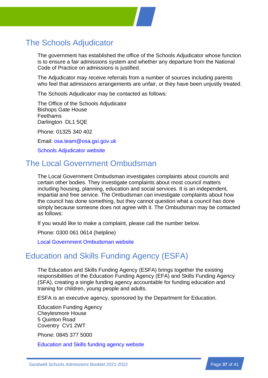## The Schools Adjudicator

The government has established the office of the Schools Adjudicator whose function is to ensure a fair admissions system and whether any departure from the National Code of Practice on admissions is justified.

The Adjudicator may receive referrals from a number of sources including parents who feel that admissions arrangements are unfair, or they have been unjustly treated.

The Schools Adjudicator may be contacted as follows:

The Office of the Schools Adjudicator Bishops Gate House **Feethams** Darlington DL1 5QE

Phone: 01325 340 402

Email: [osa.team@osa.gsi.gov.uk](mailto:OSA.TEAM@osa.gsi.gov.uk)

[Schools Adjudicator website](http://www.education.gov.uk/schoolsadjudicator/)

## The Local Government Ombudsman

The Local Government Ombudsman investigates complaints about councils and certain other bodies. They investigate complaints about most council matters including housing, planning, education and social services. It is an independent, impartial and free service. The Ombudsman can investigate complaints about how the council has done something, but they cannot question what a council has done simply because someone does not agree with it. The Ombudsman may be contacted as follows:

If you would like to make a complaint, please call the number below.

Phone: 0300 061 0614 (helpline)

[Local Government Ombudsman](http://www.lgo.org.uk/) website

## Education and Skills Funding Agency (ESFA)

The Education and Skills Funding Agency (ESFA) brings together the existing responsibilities of the Education Funding Agency (EFA) and Skills Funding Agency (SFA), creating a single funding agency accountable for funding education and training for children, young people and adults.

ESFA is an executive agency, sponsored by the [Department for Education.](https://www.gov.uk/government/organisations/department-for-education)

Education Funding Agency Cheylesmore House 5 Quinton Road Coventry CV1 2WT

Phone: 0845 377 5000

[Education and Skills funding agency website](https://www.gov.uk/government/organisations/education-funding-agency)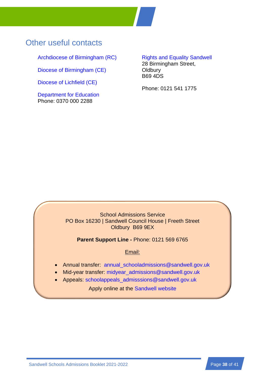## Other useful contacts

[Archdiocese of Birmingham \(RC\)](http://www.birminghamdiocese.org.uk/)

[Diocese of Birmingham \(CE\)](https://www.cofebirmingham.com/)

[Diocese of Lichfield \(CE\)](https://www.lichfield.anglican.org/)

[Department for Education](http://www.education.gov.uk/schools) Phone: 0370 000 2288

### [Rights and Equality Sandwell](http://www.rightsandequalitysandwell.co.uk/) 28 Birmingham Street,

**Oldbury** B69 4DS

Phone: 0121 541 1775

### School Admissions Service PO Box 16230 | Sandwell Council House | Freeth Street Oldbury B69 9EX

**Parent Support Line -** Phone: 0121 569 6765

### Email:

- Annual transfer: [annual\\_schooladmissions@sandwell.gov.uk](mailto:annual_schooladmissions@sandwell.gov.uk)
- Mid-year transfer: [midyear\\_admissions@sandwell.gov.uk](mailto:midyear_admissions@sandwell.gov.uk)
- Appeals: [schoolappeals\\_admisssions@sandwell.gov.uk](mailto:schoolappeals_admisssions@sandwell.gov.uk)

Apply online at the [Sandwell website](http://www.sandwell.gov.uk/info/200303/school_admissions/349/apply_for_a_school_place)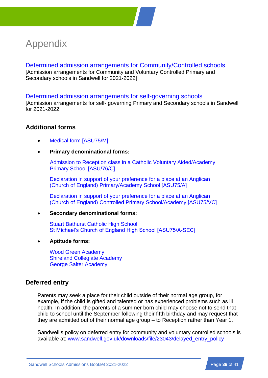## <span id="page-41-0"></span>Appendix

<span id="page-41-1"></span>[Determined admission arrangements for Community/Controlled schools](http://www.sandwell.gov.uk/downloads/file/29906/determined_admission_arrangements_2021-2022) [Admission arrangements for Community and Voluntary Controlled Primary and Secondary schools in Sandwell for 2021-2022]

### [Determined admission arrangements for self-governing schools](http://www.sandwell.gov.uk/downloads/file/30614/determined_admission_arrangements_for_self_governing_schools_-_2021-2022)

[Admission arrangements for self- governing Primary and Secondary schools in Sandwell for 2021-2022]

### <span id="page-41-3"></span>**Additional forms**

- <span id="page-41-4"></span>• [Medical form](http://www.sandwell.gov.uk/downloads/file/30549/medical_grounds_form_2021-2022_-_asu75m) [ASU75/M]
- **Primary denominational forms:**

<span id="page-41-6"></span>[Admission to Reception class in a Catholic Voluntary Aided/Academy](http://www.sandwell.gov.uk/downloads/file/30546/catholic_voluntary_aidedacademy_primary_school_denominational_form_-_asu76c)  Primary [School \[ASU/76/C\]](http://www.sandwell.gov.uk/downloads/file/30546/catholic_voluntary_aidedacademy_primary_school_denominational_form_-_asu76c)

<span id="page-41-5"></span>[Declaration in support of your preference for a place at an Anglican](http://www.sandwell.gov.uk/downloads/file/30548/cofe_primaryacademy_denominational_support_form_2021-2022_-_asu75a)  (Church of [England\) Primary/Academy School \[ASU75/A\]](http://www.sandwell.gov.uk/downloads/file/30548/cofe_primaryacademy_denominational_support_form_2021-2022_-_asu75a)

<span id="page-41-7"></span>[Declaration in support of your preference for a place at an Anglican](http://www.sandwell.gov.uk/downloads/file/30547/cofe_controlled_primary_schoolacademy_demoninational_form_-_asu75vc)  (Church of [England\) Controlled Primary School/Academy \[ASU75/VC\]](http://www.sandwell.gov.uk/downloads/file/30547/cofe_controlled_primary_schoolacademy_demoninational_form_-_asu75vc)

• **Secondary denominational forms:**

<span id="page-41-9"></span><span id="page-41-8"></span>[Stuart Bathurst Catholic High School](http://www.sandwell.gov.uk/downloads/file/30552/stuart_bathurst_catholic_high_school_supplementary_information_2021-2022) [St Michael's Church of England High School \[ASU75/A-SEC\]](http://www.sandwell.gov.uk/downloads/file/30551/st_michaels_church_of_england_high_school_2021-2022_-_asu75a-sec)

• **Aptitude forms:**

<span id="page-41-11"></span><span id="page-41-10"></span>[Wood Green Academy](https://www.woodgreenacademy.co.uk/sporting-aptitude-application-form/) [Shireland Collegiate Academy](http://www.sandwell.gov.uk/downloads/file/30555/shireland_-_arts_aptitude_application_form_2021-2022) [George Salter Academy](http://www.sandwell.gov.uk/downloads/file/30550/george_salter_academy_aptitude_form_2021-2022)

### <span id="page-41-2"></span>**Deferred entry**

Parents may seek a place for their child outside of their normal age group, for example, if the child is gifted and talented or has experienced problems such as ill health. In addition, the parents of a summer born child may choose not to send that child to school until the September following their fifth birthday and may request that they are admitted out of their normal age group – to Reception rather than Year 1.

Sandwell's policy on deferred entry for community and voluntary controlled schools is available at: [www.sandwell.gov.uk/downloads/file/23043/delayed\\_entry\\_policy](http://www.sandwell.gov.uk/downloads/file/23043/delayed_entry_policy)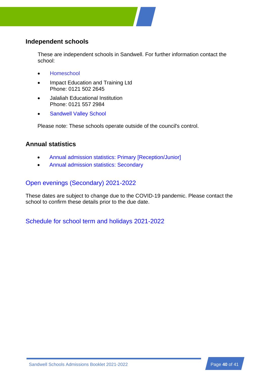

### <span id="page-42-1"></span>**Independent schools**

These are independent schools in Sandwell. For further information contact the school:

- [Homeschool](http://www.homeschoolsocialenterprise.org/)
- Impact Education and Training Ltd Phone: 0121 502 2645
- Jalaliah Educational Institution Phone: 0121 557 2984
- **[Sandwell Valley School](https://www.sandwellvalleyschool.com/)**

Please note: These schools operate outside of the council's control.

### <span id="page-42-0"></span>**Annual statistics**

- [Annual admission statistics: Primary \[Reception/Junior\]](http://www.sandwell.gov.uk/downloads/file/5067/primary_annual_admission_data)
- [Annual admission statistics: Secondary](http://www.sandwell.gov.uk/downloads/file/5048/secondary_annual_admission_data)

### <span id="page-42-2"></span>[Open evenings \(Secondary\) 2021-2022](http://www.sandwell.gov.uk/info/200295/schools_and_learning/4346/secondary_school_open_days_and_evenings_2020)

These dates are subject to change due to the COVID-19 pandemic. Please contact the school to confirm these details prior to the due date.

[Schedule for school term and holidays 2021-2022](http://www.sandwell.gov.uk/info/200295/schools_and_learning/4315/school_term_dates_and_holidays_202122)